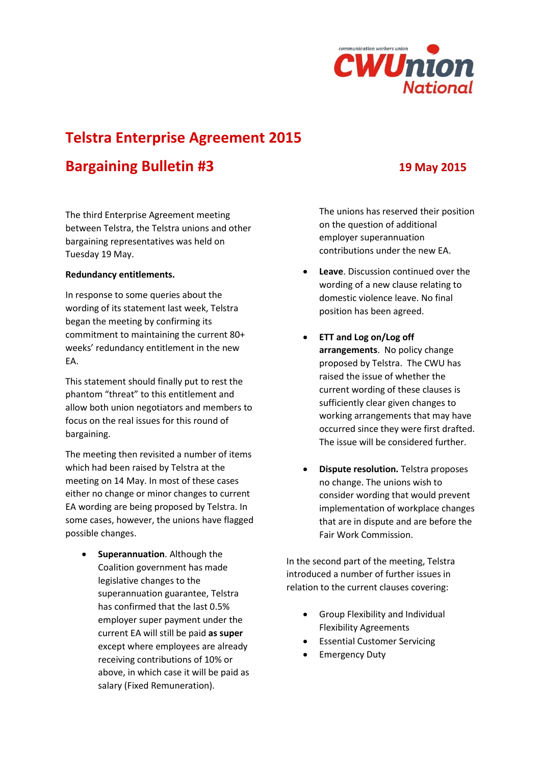

# **Telstra Enterprise Agreement 2015**

## **Bargaining Bulletin #3 19 May 2015**

The third Enterprise Agreement meeting between Telstra, the Telstra unions and other bargaining representatives was held on Tuesday 19 May.

### **Redundancy entitlements.**

In response to some queries about the wording of its statement last week, Telstra began the meeting by confirming its commitment to maintaining the current 80+ weeks' redundancy entitlement in the new EA.

This statement should finally put to rest the phantom "threat" to this entitlement and allow both union negotiators and members to focus on the real issues for this round of bargaining.

The meeting then revisited a number of items which had been raised by Telstra at the meeting on 14 May. In most of these cases either no change or minor changes to current EA wording are being proposed by Telstra. In some cases, however, the unions have flagged possible changes.

**•** Superannuation. Although the Coalition government has made legislative changes to the superannuation guarantee, Telstra has confirmed that the last 0.5% employer super payment under the current EA will still be paid **as super**  except where employees are already receiving contributions of 10% or above, in which case it will be paid as salary (Fixed Remuneration).

The unions has reserved their position on the question of additional employer superannuation contributions under the new EA.

- **Leave**. Discussion continued over the wording of a new clause relating to domestic violence leave. No final position has been agreed.
- **ETT and Log on/Log off arrangements**. No policy change proposed by Telstra. The CWU has raised the issue of whether the current wording of these clauses is sufficiently clear given changes to working arrangements that may have occurred since they were first drafted. The issue will be considered further.
- **•** Dispute resolution. Telstra proposes no change. The unions wish to consider wording that would prevent implementation of workplace changes that are in dispute and are before the Fair Work Commission.

In the second part of the meeting, Telstra introduced a number of further issues in relation to the current clauses covering:

- Group Flexibility and Individual Flexibility Agreements
- Essential Customer Servicing
- Emergency Duty